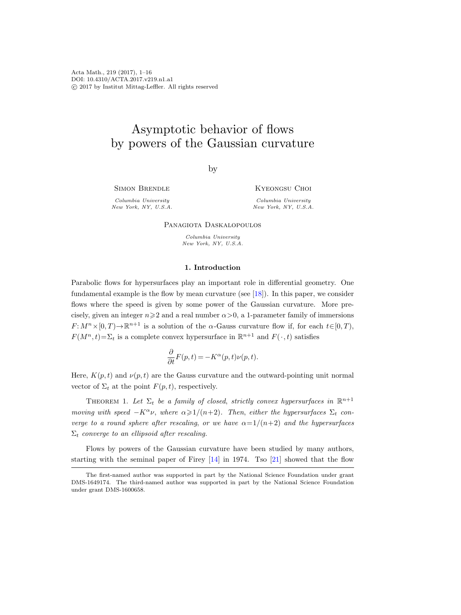Acta Math., 219 (2017), 1–16 DOI: 10.4310/ACTA.2017.v219.n1.a1 c 2017 by Institut Mittag-Leffler. All rights reserved

# Asymptotic behavior of flows by powers of the Gaussian curvature

by

Simon Brendle

KYEONGSU CHOI

Columbia University New York, NY, U.S.A.

Columbia University New York, NY, U.S.A.

Panagiota Daskalopoulos

Columbia University New York, NY, U.S.A.

### 1. Introduction

Parabolic flows for hypersurfaces play an important role in differential geometry. One fundamental example is the flow by mean curvature (see [\[18\]](#page-14-0)). In this paper, we consider flows where the speed is given by some power of the Gaussian curvature. More precisely, given an integer  $n\geq 2$  and a real number  $\alpha>0$ , a 1-parameter family of immersions  $F: M^n \times [0, T) \to \mathbb{R}^{n+1}$  is a solution of the  $\alpha$ -Gauss curvature flow if, for each  $t \in [0, T)$ ,  $F(M^n, t) = \sum_t$  is a complete convex hypersurface in  $\mathbb{R}^{n+1}$  and  $F(\cdot, t)$  satisfies

$$
\frac{\partial}{\partial t}F(p,t)=-K^{\alpha}(p,t)\nu(p,t).
$$

Here,  $K(p,t)$  and  $\nu(p,t)$  are the Gauss curvature and the outward-pointing unit normal vector of  $\Sigma_t$  at the point  $F(p, t)$ , respectively.

<span id="page-0-0"></span>THEOREM 1. Let  $\Sigma_t$  be a family of closed, strictly convex hypersurfaces in  $\mathbb{R}^{n+1}$ moving with speed  $-K^{\alpha} \nu$ , where  $\alpha \geq 1/(n+2)$ . Then, either the hypersurfaces  $\Sigma_t$  converge to a round sphere after rescaling, or we have  $\alpha=1/(n+2)$  and the hypersurfaces  $\Sigma_t$  converge to an ellipsoid after rescaling.

Flows by powers of the Gaussian curvature have been studied by many authors, starting with the seminal paper of Firey [\[14\]](#page-14-1) in 1974. Tso [\[21\]](#page-14-2) showed that the flow

The first-named author was supported in part by the National Science Foundation under grant DMS-1649174. The third-named author was supported in part by the National Science Foundation under grant DMS-1600658.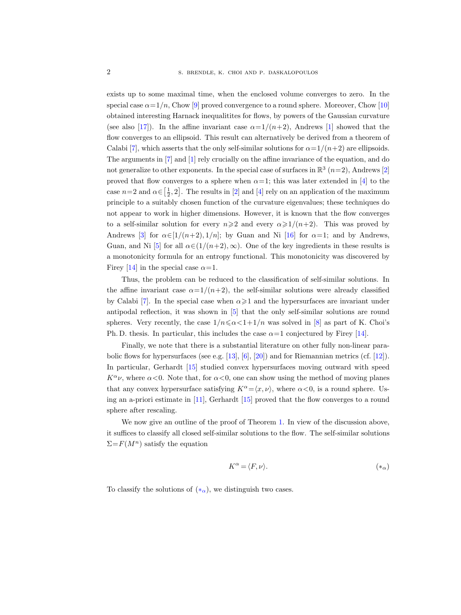exists up to some maximal time, when the enclosed volume converges to zero. In the special case  $\alpha = 1/n$ , Chow [\[9\]](#page-14-3) proved convergence to a round sphere. Moreover, Chow [\[10\]](#page-14-4) obtained interesting Harnack inequalitites for flows, by powers of the Gaussian curvature (see also [\[17\]](#page-14-5)). In the affine invariant case  $\alpha=1/(n+2)$ , Andrews [\[1\]](#page-14-6) showed that the flow converges to an ellipsoid. This result can alternatively be derived from a theorem of Calabi [\[7\]](#page-14-7), which asserts that the only self-similar solutions for  $\alpha = 1/(n+2)$  are ellipsoids. The arguments in [\[7\]](#page-14-7) and [\[1\]](#page-14-6) rely crucially on the affine invariance of the equation, and do not generalize to other exponents. In the special case of surfaces in  $\mathbb{R}^3$   $(n=2)$ , Andrews [\[2\]](#page-14-8) proved that flow converges to a sphere when  $\alpha=1$ ; this was later extended in [\[4\]](#page-14-9) to the case  $n=2$  and  $\alpha \in \left[\frac{1}{2}, 2\right]$ . The results in  $[2]$  and  $[4]$  rely on an application of the maximum principle to a suitably chosen function of the curvature eigenvalues; these techniques do not appear to work in higher dimensions. However, it is known that the flow converges to a self-similar solution for every  $n\geqslant 2$  and every  $\alpha\geqslant 1/(n+2)$ . This was proved by Andrews [\[3\]](#page-14-10) for  $\alpha \in [1/(n+2), 1/n]$ ; by Guan and Ni [\[16\]](#page-14-11) for  $\alpha = 1$ ; and by Andrews, Guan, and Ni [\[5\]](#page-14-12) for all  $\alpha \in (1/(n+2), \infty)$ . One of the key ingredients in these results is a monotonicity formula for an entropy functional. This monotonicity was discovered by Firey [\[14\]](#page-14-1) in the special case  $\alpha = 1$ .

Thus, the problem can be reduced to the classification of self-similar solutions. In the affine invariant case  $\alpha=1/(n+2)$ , the self-similar solutions were already classified by Calabi [\[7\]](#page-14-7). In the special case when  $\alpha \geq 1$  and the hypersurfaces are invariant under antipodal reflection, it was shown in [\[5\]](#page-14-12) that the only self-similar solutions are round spheres. Very recently, the case  $1/n \le \alpha < 1+1/n$  was solved in [\[8\]](#page-14-13) as part of K. Choi's Ph. D. thesis. In particular, this includes the case  $\alpha=1$  conjectured by Firey [\[14\]](#page-14-1).

Finally, we note that there is a substantial literature on other fully non-linear parabolic flows for hypersurfaces (see e.g. [\[13\]](#page-14-14), [\[6\]](#page-14-15), [\[20\]](#page-14-16)) and for Riemannian metrics (cf. [\[12\]](#page-14-17)). In particular, Gerhardt [\[15\]](#page-14-18) studied convex hypersurfaces moving outward with speed  $K^{\alpha} \nu$ , where  $\alpha$ <0. Note that, for  $\alpha$ <0, one can show using the method of moving planes that any convex hypersurface satisfying  $K^{\alpha} = \langle x, \nu \rangle$ , where  $\alpha < 0$ , is a round sphere. Using an a-priori estimate in [\[11\]](#page-14-19), Gerhardt [\[15\]](#page-14-18) proved that the flow converges to a round sphere after rescaling.

We now give an outline of the proof of Theorem [1.](#page-0-0) In view of the discussion above, it suffices to classify all closed self-similar solutions to the flow. The self-similar solutions  $\Sigma = F(M^n)$  satisfy the equation

<span id="page-1-0"></span>
$$
K^{\alpha} = \langle F, \nu \rangle. \tag{*_{\alpha}}
$$

To classify the solutions of  $(*_{\alpha})$ , we distinguish two cases.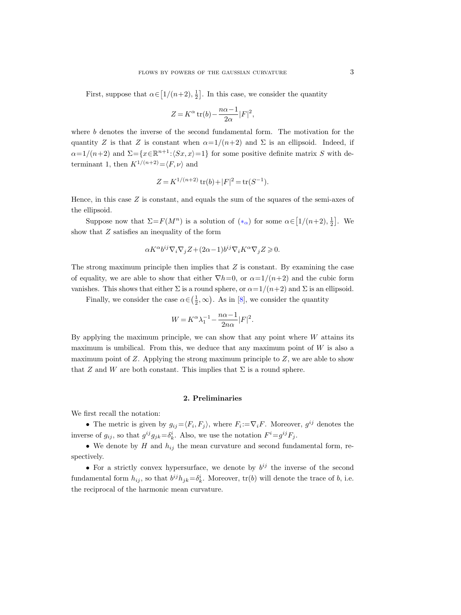First, suppose that  $\alpha \in [1/(n+2), \frac{1}{2}]$ . In this case, we consider the quantity

$$
Z=K^{\alpha}\mathop{\rm tr}\nolimits(b)-\frac{n\alpha-1}{2\alpha}|F|^2,
$$

where b denotes the inverse of the second fundamental form. The motivation for the quantity Z is that Z is constant when  $\alpha=1/(n+2)$  and  $\Sigma$  is an ellipsoid. Indeed, if  $\alpha=1/(n+2)$  and  $\Sigma=\{x\in\mathbb{R}^{n+1}:\langle Sx,x\rangle=1\}$  for some positive definite matrix S with determinant 1, then  $K^{1/(n+2)} = \langle F, \nu \rangle$  and

$$
Z = K^{1/(n+2)} \operatorname{tr}(b) + |F|^2 = \operatorname{tr}(S^{-1}).
$$

Hence, in this case  $Z$  is constant, and equals the sum of the squares of the semi-axes of the ellipsoid.

Suppose now that  $\Sigma = F(M^n)$  is a solution of  $(*_{\alpha})$  for some  $\alpha \in [1/(n+2), \frac{1}{2}]$ . We show that Z satisfies an inequality of the form

$$
\alpha K^{\alpha}b^{ij}\nabla_i\nabla_jZ + (2\alpha - 1)b^{ij}\nabla_iK^{\alpha}\nabla_jZ \geqslant 0.
$$

The strong maximum principle then implies that  $Z$  is constant. By examining the case of equality, we are able to show that either  $\nabla h=0$ , or  $\alpha=1/(n+2)$  and the cubic form vanishes. This shows that either  $\Sigma$  is a round sphere, or  $\alpha = 1/(n+2)$  and  $\Sigma$  is an ellipsoid.

Finally, we consider the case  $\alpha \in (\frac{1}{2}, \infty)$ . As in [\[8\]](#page-14-13), we consider the quantity

$$
W=K^\alpha \lambda_1^{-1}-\frac{n\alpha-1}{2n\alpha}|F|^2.
$$

By applying the maximum principle, we can show that any point where  $W$  attains its maximum is umbilical. From this, we deduce that any maximum point of  $W$  is also a maximum point of  $Z$ . Applying the strong maximum principle to  $Z$ , we are able to show that Z and W are both constant. This implies that  $\Sigma$  is a round sphere.

### 2. Preliminaries

We first recall the notation:

• The metric is given by  $g_{ij} = \langle F_i, F_j \rangle$ , where  $F_i := \nabla_i F$ . Moreover,  $g^{ij}$  denotes the inverse of  $g_{ij}$ , so that  $g^{ij}g_{jk} = \delta^i_k$ . Also, we use the notation  $F^i = g^{ij}F_j$ .

• We denote by  $H$  and  $h_{ij}$  the mean curvature and second fundamental form, respectively.

• For a strictly convex hypersurface, we denote by  $b^{ij}$  the inverse of the second fundamental form  $h_{ij}$ , so that  $b^{ij}h_{jk}=\delta^i_k$ . Moreover,  $tr(b)$  will denote the trace of b, i.e. the reciprocal of the harmonic mean curvature.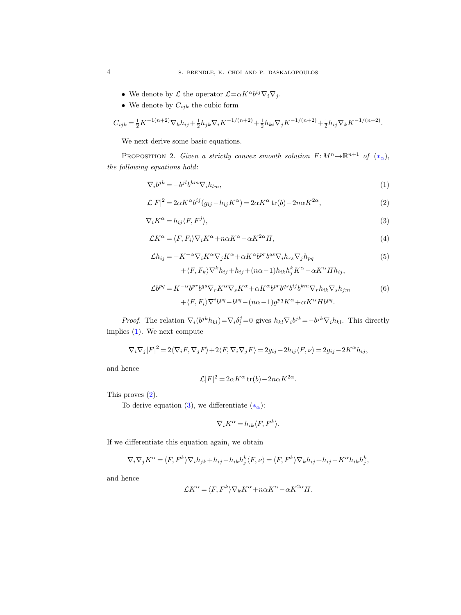- We denote by  $\mathcal L$  the operator  $\mathcal L = \alpha K^{\alpha} b^{ij} \nabla_i \nabla_j$ .
- We denote by  $C_{ijk}$  the cubic form

$$
C_{ijk} = \frac{1}{2}K^{-1(n+2)}\nabla_k h_{ij} + \frac{1}{2}h_{jk}\nabla_i K^{-1/(n+2)} + \frac{1}{2}h_{ki}\nabla_j K^{-1/(n+2)} + \frac{1}{2}h_{ij}\nabla_k K^{-1/(n+2)}.
$$

We next derive some basic equations.

PROPOSITION 2. Given a strictly convex smooth solution  $F: M^n \to \mathbb{R}^{n+1}$  of  $(*_{\alpha})$ , the following equations hold:

$$
\nabla_i b^{jk} = -b^{jl} b^{km} \nabla_i h_{lm},\tag{1}
$$

<span id="page-3-0"></span>
$$
\mathcal{L}|F|^2 = 2\alpha K^{\alpha}b^{ij}(g_{ij} - h_{ij}K^{\alpha}) = 2\alpha K^{\alpha} \operatorname{tr}(b) - 2n\alpha K^{2\alpha},\tag{2}
$$

$$
\nabla_i K^{\alpha} = h_{ij} \langle F, F^j \rangle, \tag{3}
$$

$$
\mathcal{L}K^{\alpha} = \langle F, F_i \rangle \nabla_i K^{\alpha} + n\alpha K^{\alpha} - \alpha K^{2\alpha} H, \qquad (4)
$$

$$
\mathcal{L}h_{ij} = -K^{-\alpha}\nabla_i K^{\alpha}\nabla_j K^{\alpha} + \alpha K^{\alpha}b^{pr}b^{qs}\nabla_i h_{rs}\nabla_j h_{pq}
$$
\n
$$
+ \langle F, F_k \rangle \nabla^k h_{ij} + h_{ij} + (n\alpha - 1)h_{ik}h_j^k K^{\alpha} - \alpha K^{\alpha} H h_{ij},
$$
\n
$$
\mathcal{L}b^{pq} = K^{-\alpha}b^{pr}b^{qs}\nabla_r K^{\alpha}\nabla_s K^{\alpha} + \alpha K^{\alpha}b^{pr}b^{qs}b^{ij}b^{km}\nabla_r h_{ik}\nabla_s h_{jm}
$$
\n(6)

*Proof.* The relation 
$$
\nabla_i(b^{jk}h_{kl}) = \nabla_i \delta_l^j = 0
$$
 gives  $h_{kl}\nabla_i b^{jk} = -b^{jk}\nabla_i h_{kl}$ . This directly implies (1). We next compute

<span id="page-3-5"></span><span id="page-3-4"></span><span id="page-3-3"></span><span id="page-3-2"></span><span id="page-3-1"></span> $+\langle F, F_i\rangle \nabla^i b^{pq} - b^{pq} - (n\alpha - 1)g^{pq}K^{\alpha} + \alpha K^{\alpha}Hb^{pq}.$ 

$$
\nabla_i\nabla_j|F|^2=2\langle \nabla_iF,\nabla_jF\rangle+2\langle F,\nabla_i\nabla_jF\rangle=2g_{ij}-2h_{ij}\langle F,\nu\rangle=2g_{ij}-2K^\alpha h_{ij},
$$

and hence

$$
\mathcal{L}|F|^2 = 2\alpha K^{\alpha} \operatorname{tr}(b) - 2n\alpha K^{2\alpha}.
$$

This proves [\(2\)](#page-3-1).

To derive equation [\(3\)](#page-3-2), we differentiate  $(*_{\alpha})$ :

$$
\nabla_i K^{\alpha} = h_{ik} \langle F, F^k \rangle.
$$

If we differentiate this equation again, we obtain

$$
\nabla_i \nabla_j K^{\alpha} = \langle F, F^k \rangle \nabla_i h_{jk} + h_{ij} - h_{ik} h_j^k \langle F, \nu \rangle = \langle F, F^k \rangle \nabla_k h_{ij} + h_{ij} - K^{\alpha} h_{ik} h_j^k,
$$

and hence

$$
\mathcal{L}K^{\alpha} = \langle F, F^k \rangle \nabla_k K^{\alpha} + n\alpha K^{\alpha} - \alpha K^{2\alpha} H.
$$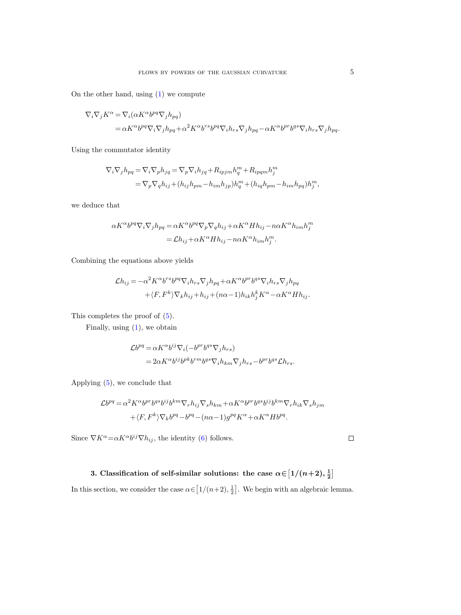On the other hand, using [\(1\)](#page-3-0) we compute

$$
\begin{split} \nabla_i \nabla_j K^\alpha &= \nabla_i (\alpha K^\alpha b^{pq} \nabla_j h_{pq}) \\ &= \alpha K^\alpha b^{pq} \nabla_i \nabla_j h_{pq} + \alpha^2 K^\alpha b^{rs} b^{pq} \nabla_i h_{rs} \nabla_j h_{pq} - \alpha K^\alpha b^{pr} b^{qs} \nabla_i h_{rs} \nabla_j h_{pq}. \end{split}
$$

Using the commutator identity

$$
\nabla_i \nabla_j h_{pq} = \nabla_i \nabla_p h_{jq} = \nabla_p \nabla_i h_{jq} + R_{ipj m} h_q^m + R_{ipq m} h_j^m
$$
  
= 
$$
\nabla_p \nabla_q h_{ij} + (h_{ij} h_{pm} - h_{im} h_{jp}) h_q^m + (h_{iq} h_{pm} - h_{im} h_{pq}) h_j^m,
$$

we deduce that

$$
\alpha K^{\alpha} b^{pq} \nabla_i \nabla_j h_{pq} = \alpha K^{\alpha} b^{pq} \nabla_p \nabla_q h_{ij} + \alpha K^{\alpha} H h_{ij} - n \alpha K^{\alpha} h_{im} h_j^m
$$
  
=  $\mathcal{L} h_{ij} + \alpha K^{\alpha} H h_{ij} - n \alpha K^{\alpha} h_{im} h_j^m$ .

Combining the equations above yields

$$
\mathcal{L}h_{ij} = -\alpha^2 K^{\alpha} b^{rs} b^{pq} \nabla_i h_{rs} \nabla_j h_{pq} + \alpha K^{\alpha} b^{pr} b^{qs} \nabla_i h_{rs} \nabla_j h_{pq}
$$

$$
+ \langle F, F^k \rangle \nabla_k h_{ij} + h_{ij} + (n\alpha - 1) h_{ik} h_j^k K^{\alpha} - \alpha K^{\alpha} H h_{ij}.
$$

This completes the proof of [\(5\)](#page-3-3).

Finally, using [\(1\)](#page-3-0), we obtain

$$
\begin{split} \mathcal{L}b^{pq} &= \alpha K^{\alpha}b^{ij}\nabla_i(-b^{pr}b^{qs}\nabla_jh_{rs})\\ &= 2\alpha K^{\alpha}b^{ij}b^{pk}b^{rm}b^{qs}\nabla_ih_{km}\nabla_jh_{rs} - b^{pr}b^{qs}\mathcal{L}h_{rs}. \end{split}
$$

Applying [\(5\)](#page-3-3), we conclude that

$$
\mathcal{L}b^{pq} = \alpha^2 K^{\alpha} b^{pr} b^{qs} b^{ij} b^{km} \nabla_r h_{ij} \nabla_s h_{km} + \alpha K^{\alpha} b^{pr} b^{qs} b^{ij} b^{km} \nabla_r h_{ik} \nabla_s h_{jm}
$$
  
+  $\langle F, F^k \rangle \nabla_k b^{pq} - b^{pq} - (n\alpha - 1) g^{pq} K^{\alpha} + \alpha K^{\alpha} H b^{pq}.$ 

Since  $\nabla K^{\alpha} = \alpha K^{\alpha} b^{ij} \nabla h_{ij}$ , the identity [\(6\)](#page-3-4) follows.

## 3. Classification of self-similar solutions: the case  $\alpha \in [1/(n+2), \frac{1}{2}]$

In this section, we consider the case  $\alpha \in [1/(n+2), \frac{1}{2}]$ . We begin with an algebraic lemma.

 $\Box$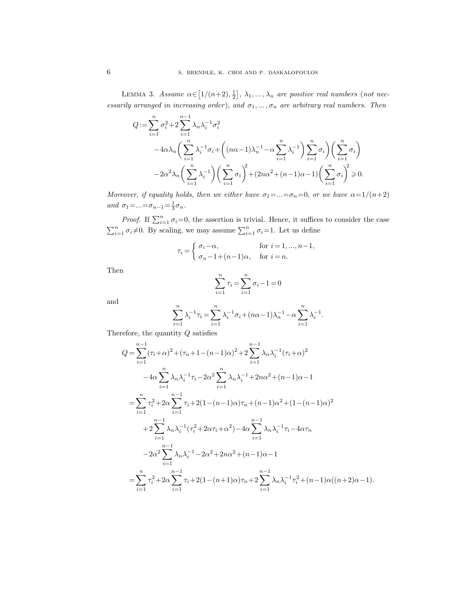<span id="page-5-0"></span>LEMMA 3. Assume  $\alpha \in [1/(n+2), \frac{1}{2}], \lambda_1, \ldots, \lambda_n$  are positive real numbers (not necessarily arranged in increasing order), and  $\sigma_1, \ldots, \sigma_n$  are arbitrary real numbers. Then

$$
Q := \sum_{i=1}^{n} \sigma_i^2 + 2 \sum_{i=1}^{n-1} \lambda_n \lambda_i^{-1} \sigma_i^2
$$
  

$$
-4\alpha \lambda_n \left( \sum_{i=1}^{n} \lambda_i^{-1} \sigma_i + \left( (n\alpha - 1)\lambda_n^{-1} - \alpha \sum_{i=1}^{n} \lambda_i^{-1} \right) \sum_{i=1}^{n} \sigma_i \right) \left( \sum_{i=1}^{n} \sigma_i \right)
$$
  

$$
-2\alpha^2 \lambda_n \left( \sum_{i=1}^{n} \lambda_i^{-1} \right) \left( \sum_{i=1}^{n} \sigma_i \right)^2 + (2n\alpha^2 + (n-1)\alpha - 1) \left( \sum_{i=1}^{n} \sigma_i \right)^2 \ge 0.
$$

Moreover, if equality holds, then we either have  $\sigma_1 = ... = \sigma_n = 0$ , or we have  $\alpha = 1/(n+2)$ and  $\sigma_1 = ... = \sigma_{n-1} = \frac{1}{3}\sigma_n$ .

*Proof.* If  $\sum_{i=1}^{n} \sigma_i = 0$ , the assertion is trivial. Hence, it suffices to consider the case  $\sum_{i=1}^{n} \sigma_i \neq 0$ . By scaling, we may assume  $\sum_{i=1}^{n} \sigma_i = 1$ . Let us define

$$
\tau_i = \begin{cases} \sigma_i - \alpha, & \text{for } i = 1, ..., n-1, \\ \sigma_n - 1 + (n-1)\alpha, & \text{for } i = n. \end{cases}
$$

Then

$$
\sum_{i=1}^{n} \tau_i = \sum_{i=1}^{n} \sigma_i - 1 = 0
$$

and

$$
\sum_{i=1}^{n} \lambda_i^{-1} \tau_i = \sum_{i=1}^{n} \lambda_i^{-1} \sigma_i + (n\alpha - 1)\lambda_n^{-1} - \alpha \sum_{i=1}^{n} \lambda_i^{-1}.
$$

Therefore, the quantity Q satisfies

$$
Q = \sum_{i=1}^{n-1} (\tau_i + \alpha)^2 + (\tau_n + 1 - (n-1)\alpha)^2 + 2 \sum_{i=1}^{n-1} \lambda_n \lambda_i^{-1} (\tau_i + \alpha)^2
$$
  
\n
$$
-4\alpha \sum_{i=1}^n \lambda_n \lambda_i^{-1} \tau_i - 2\alpha^2 \sum_{i=1}^n \lambda_n \lambda_i^{-1} + 2n\alpha^2 + (n-1)\alpha - 1
$$
  
\n
$$
= \sum_{i=1}^n \tau_i^2 + 2\alpha \sum_{i=1}^{n-1} \tau_i + 2(1 - (n-1)\alpha)\tau_n + (n-1)\alpha^2 + (1 - (n-1)\alpha)^2
$$
  
\n
$$
+ 2 \sum_{i=1}^{n-1} \lambda_n \lambda_i^{-1} (\tau_i^2 + 2\alpha \tau_i + \alpha^2) - 4\alpha \sum_{i=1}^{n-1} \lambda_n \lambda_i^{-1} \tau_i - 4\alpha \tau_n
$$
  
\n
$$
-2\alpha^2 \sum_{i=1}^{n-1} \lambda_n \lambda_i^{-1} - 2\alpha^2 + 2n\alpha^2 + (n-1)\alpha - 1
$$
  
\n
$$
= \sum_{i=1}^n \tau_i^2 + 2\alpha \sum_{i=1}^{n-1} \tau_i + 2(1 - (n+1)\alpha)\tau_n + 2 \sum_{i=1}^{n-1} \lambda_n \lambda_i^{-1} \tau_i^2 + (n-1)\alpha((n+2)\alpha - 1).
$$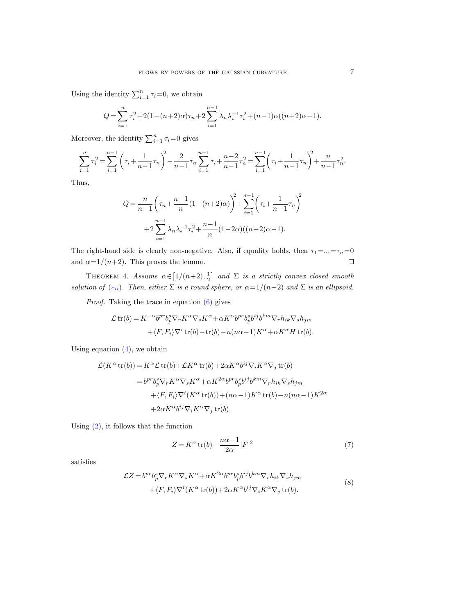Using the identity  $\sum_{i=1}^{n} \tau_i = 0$ , we obtain

$$
Q = \sum_{i=1}^{n} \tau_i^2 + 2(1 - (n+2)\alpha)\tau_n + 2\sum_{i=1}^{n-1} \lambda_i \lambda_i^{-1} \tau_i^2 + (n-1)\alpha((n+2)\alpha - 1).
$$

Moreover, the identity  $\sum_{i=1}^{n} \tau_i = 0$  gives

$$
\sum_{i=1}^{n} \tau_i^2 = \sum_{i=1}^{n-1} \left( \tau_i + \frac{1}{n-1} \tau_n \right)^2 - \frac{2}{n-1} \tau_n \sum_{i=1}^{n-1} \tau_i + \frac{n-2}{n-1} \tau_n^2 = \sum_{i=1}^{n-1} \left( \tau_i + \frac{1}{n-1} \tau_n \right)^2 + \frac{n}{n-1} \tau_n^2.
$$

Thus,

$$
Q = \frac{n}{n-1} \left( \tau_n + \frac{n-1}{n} (1 - (n+2)\alpha) \right)^2 + \sum_{i=1}^{n-1} \left( \tau_i + \frac{1}{n-1} \tau_n \right)^2
$$
  
+2
$$
\sum_{i=1}^{n-1} \lambda_n \lambda_i^{-1} \tau_i^2 + \frac{n-1}{n} (1 - 2\alpha)((n+2)\alpha - 1).
$$

The right-hand side is clearly non-negative. Also, if equality holds, then  $\tau_1 = ... = \tau_n = 0$ and  $\alpha = 1/(n+2)$ . This proves the lemma.  $\Box$ 

<span id="page-6-1"></span>THEOREM 4. Assume  $\alpha \in [1/(n+2), \frac{1}{2}]$  and  $\Sigma$  is a strictly convex closed smooth solution of  $(*_{\alpha})$ . Then, either  $\Sigma$  is a round sphere, or  $\alpha=1/(n+2)$  and  $\Sigma$  is an ellipsoid.

Proof. Taking the trace in equation [\(6\)](#page-3-4) gives

$$
\mathcal{L}\operatorname{tr}(b) = K^{-\alpha}b^{pr}b_p^s \nabla_r K^{\alpha} \nabla_s K^{\alpha} + \alpha K^{\alpha}b^{pr}b_p^s b^{ij}b^{km} \nabla_r h_{ik} \nabla_s h_{jm}
$$
  
 
$$
+ \langle F, F_i \rangle \nabla^i \operatorname{tr}(b) - \operatorname{tr}(b) - n(n\alpha - 1)K^{\alpha} + \alpha K^{\alpha} H \operatorname{tr}(b).
$$

Using equation  $(4)$ , we obtain

$$
\mathcal{L}(K^{\alpha}\operatorname{tr}(b)) = K^{\alpha}\mathcal{L}\operatorname{tr}(b) + \mathcal{L}K^{\alpha}\operatorname{tr}(b) + 2\alpha K^{\alpha}b^{ij}\nabla_{i}K^{\alpha}\nabla_{j}\operatorname{tr}(b)
$$
  
\n
$$
= b^{pr}b_{p}^{s}\nabla_{r}K^{\alpha}\nabla_{s}K^{\alpha} + \alpha K^{2\alpha}b^{pr}b_{p}^{s}b^{ij}b^{km}\nabla_{r}h_{ik}\nabla_{s}h_{jm}
$$
  
\n
$$
+ \langle F, F_{i}\rangle\nabla^{i}(K^{\alpha}\operatorname{tr}(b)) + (n\alpha - 1)K^{\alpha}\operatorname{tr}(b) - n(n\alpha - 1)K^{2\alpha}
$$
  
\n
$$
+ 2\alpha K^{\alpha}b^{ij}\nabla_{i}K^{\alpha}\nabla_{j}\operatorname{tr}(b).
$$

Using [\(2\)](#page-3-1), it follows that the function

$$
Z = K^{\alpha} \operatorname{tr}(b) - \frac{n\alpha - 1}{2\alpha} |F|^2 \tag{7}
$$

<span id="page-6-0"></span>satisfies

$$
\mathcal{L}Z = b^{pr}b_p^s \nabla_r K^\alpha \nabla_s K^\alpha + \alpha K^{2\alpha} b^{pr} b_p^s b^{ij} b^{km} \nabla_r h_{ik} \nabla_s h_{jm}
$$
  
 
$$
+ \langle F, F_i \rangle \nabla^i (K^\alpha \operatorname{tr}(b)) + 2\alpha K^\alpha b^{ij} \nabla_i K^\alpha \nabla_j \operatorname{tr}(b).
$$
 (8)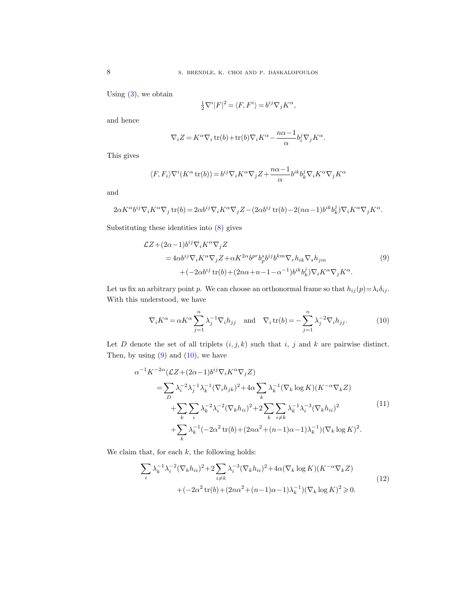Using  $(3)$ , we obtain

$$
\tfrac{1}{2}\nabla^i|F|^2=\langle F,F^i\rangle=b^{ij}\nabla_jK^\alpha,
$$

and hence

$$
\nabla_i Z = K^\alpha \nabla_i \operatorname{tr}(b) + \operatorname{tr}(b) \nabla_i K^\alpha - \frac{n\alpha - 1}{\alpha} b_i^j \nabla_j K^\alpha.
$$

This gives

$$
\langle F, F_i \rangle \nabla^i (K^\alpha \operatorname{tr}(b)) = b^{ij} \nabla_i K^\alpha \nabla_j Z + \frac{n\alpha - 1}{\alpha} b^{ik} b^j_k \nabla_i K^\alpha \nabla_j K^\alpha
$$

and

$$
2\alpha K^{\alpha}b^{ij}\nabla_i K^{\alpha}\nabla_j \operatorname{tr}(b) = 2\alpha b^{ij}\nabla_i K^{\alpha}\nabla_j Z - (2\alpha b^{ij}\operatorname{tr}(b) - 2(n\alpha - 1)b^{ik}b_k^j)\nabla_i K^{\alpha}\nabla_j K^{\alpha}.
$$

<span id="page-7-0"></span>Substituting these identities into [\(8\)](#page-6-0) gives

$$
\mathcal{L}Z + (2\alpha - 1)b^{ij}\nabla_i K^{\alpha}\nabla_j Z
$$
  
=  $4\alpha b^{ij}\nabla_i K^{\alpha}\nabla_j Z + \alpha K^{2\alpha}b^{pr}b_p^{sj}b^{ij}b^{km}\nabla_r h_{ik}\nabla_s h_{jm}$   
+  $(-2\alpha b^{ij}\operatorname{tr}(b) + (2n\alpha + n - 1 - \alpha^{-1})b^{ik}b_k^j)\nabla_i K^{\alpha}\nabla_j K^{\alpha}$ . (9)

Let us fix an arbitrary point p. We can choose an orthonormal frame so that  $h_{ij}(p) = \lambda_i \delta_{ij}$ . With this understood, we have

<span id="page-7-1"></span>
$$
\nabla_i K^{\alpha} = \alpha K^{\alpha} \sum_{j=1}^n \lambda_j^{-1} \nabla_i h_{jj} \quad \text{and} \quad \nabla_i \operatorname{tr}(b) = -\sum_{j=1}^n \lambda_j^{-2} \nabla_i h_{jj}.
$$
 (10)

Let  $D$  denote the set of all triplets  $(i, j, k)$  such that  $i, j$  and  $k$  are pairwise distinct. Then, by using  $(9)$  and  $(10)$ , we have

<span id="page-7-3"></span>
$$
\alpha^{-1} K^{-2\alpha} (\mathcal{L}Z + (2\alpha - 1)b^{ij} \nabla_i K^{\alpha} \nabla_j Z)
$$
  
\n
$$
= \sum_D \lambda_i^{-2} \lambda_j^{-1} \lambda_k^{-1} (\nabla_i h_{jk})^2 + 4\alpha \sum_k \lambda_k^{-1} (\nabla_k \log K) (K^{-\alpha} \nabla_k Z)
$$
  
\n
$$
+ \sum_k \sum_i \lambda_k^{-2} \lambda_i^{-2} (\nabla_k h_{ii})^2 + 2 \sum_k \sum_{i \neq k} \lambda_k^{-1} \lambda_i^{-3} (\nabla_k h_{ii})^2
$$
  
\n
$$
+ \sum_k \lambda_k^{-1} (-2\alpha^2 \text{tr}(b) + (2n\alpha^2 + (n-1)\alpha - 1)\lambda_k^{-1}) (\nabla_k \log K)^2.
$$
\n
$$
(11)
$$

<span id="page-7-2"></span>We claim that, for each  $k$ , the following holds:

$$
\sum_{i} \lambda_{k}^{-1} \lambda_{i}^{-2} (\nabla_{k} h_{ii})^{2} + 2 \sum_{i \neq k} \lambda_{i}^{-3} (\nabla_{k} h_{ii})^{2} + 4 \alpha (\nabla_{k} \log K)(K^{-\alpha} \nabla_{k} Z) + (-2\alpha^{2} \text{tr}(b) + (2n\alpha^{2} + (n-1)\alpha - 1)\lambda_{k}^{-1}) (\nabla_{k} \log K)^{2} \geq 0.
$$
\n(12)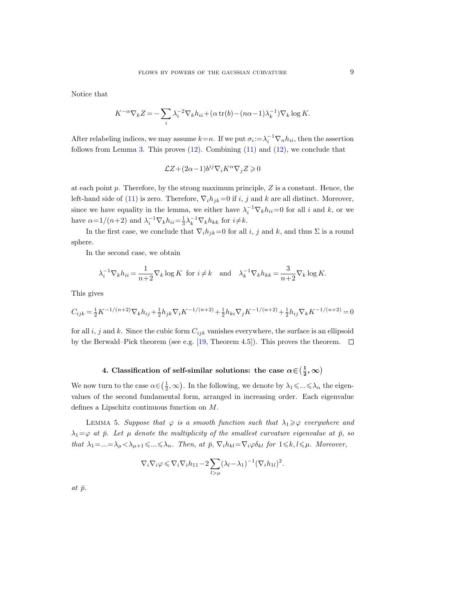Notice that

$$
K^{-\alpha}\nabla_k Z = -\sum_i \lambda_i^{-2}\nabla_k h_{ii} + (\alpha \operatorname{tr}(b) - (n\alpha - 1)\lambda_k^{-1})\nabla_k \log K.
$$

After relabeling indices, we may assume  $k=n$ . If we put  $\sigma_i := \lambda_i^{-1} \nabla_n h_{ii}$ , then the assertion follows from Lemma [3.](#page-5-0) This proves  $(12)$ . Combining  $(11)$  and  $(12)$ , we conclude that

$$
\mathcal{L}Z + (2\alpha - 1)b^{ij}\nabla_i K^\alpha \nabla_j Z \geqslant 0
$$

at each point  $p$ . Therefore, by the strong maximum principle,  $Z$  is a constant. Hence, the left-hand side of [\(11\)](#page-7-3) is zero. Therefore,  $\nabla_i h_{jk}=0$  if i, j and k are all distinct. Moreover, since we have equality in the lemma, we either have  $\lambda_i^{-1} \nabla_k h_{ii} = 0$  for all i and k, or we have  $\alpha = 1/(n+2)$  and  $\lambda_i^{-1} \nabla_k h_{ii} = \frac{1}{3} \lambda_k^{-1} \nabla_k h_{kk}$  for  $i \neq k$ .

In the first case, we conclude that  $\nabla_i h_{jk}=0$  for all i, j and k, and thus  $\Sigma$  is a round sphere.

In the second case, we obtain

$$
\lambda_i^{-1} \nabla_k h_{ii} = \frac{1}{n+2} \nabla_k \log K \text{ for } i \neq k \text{ and } \lambda_k^{-1} \nabla_k h_{kk} = \frac{3}{n+2} \nabla_k \log K.
$$

This gives

$$
C_{ijk} = \frac{1}{2} K^{-1/(n+2)} \nabla_k h_{ij} + \frac{1}{2} h_{jk} \nabla_i K^{-1/(n+2)} + \frac{1}{2} h_{ki} \nabla_j K^{-1/(n+2)} + \frac{1}{2} h_{ij} \nabla_k K^{-1/(n+2)} = 0
$$

for all i, j and k. Since the cubic form  $C_{ijk}$  vanishes everywhere, the surface is an ellipsoid by the Berwald–Pick theorem (see e.g. [\[19,](#page-14-20) Theorem 4.5]). This proves the theorem.  $\Box$ 

## 4. Classification of self-similar solutions: the case  $\alpha \in (\frac{1}{2}, \infty)$

We now turn to the case  $\alpha \in (\frac{1}{2}, \infty)$ . In the following, we denote by  $\lambda_1 \leq \dots \leq \lambda_n$  the eigenvalues of the second fundamental form, arranged in increasing order. Each eigenvalue defines a Lipschitz continuous function on M.

LEMMA 5. Suppose that  $\varphi$  is a smooth function such that  $\lambda_1 \geq \varphi$  everywhere and  $\lambda_1=\varphi$  at  $\bar{p}$ . Let  $\mu$  denote the multiplicity of the smallest curvature eigenvalue at  $\bar{p}$ , so that  $\lambda_1 = ... = \lambda_\mu < \lambda_{\mu+1} \leqslant ... \leqslant \lambda_n$ . Then, at  $\bar{p}$ ,  $\nabla_i h_{kl} = \nabla_i \varphi \delta_{kl}$  for  $1 \leqslant k, l \leqslant \mu$ . Moreover,

$$
\nabla_i \nabla_i \varphi \leqslant \nabla_i \nabla_i h_{11} - 2 \sum_{l > \mu} (\lambda_l - \lambda_1)^{-1} (\nabla_i h_{1l})^2.
$$

at  $\bar{p}$ .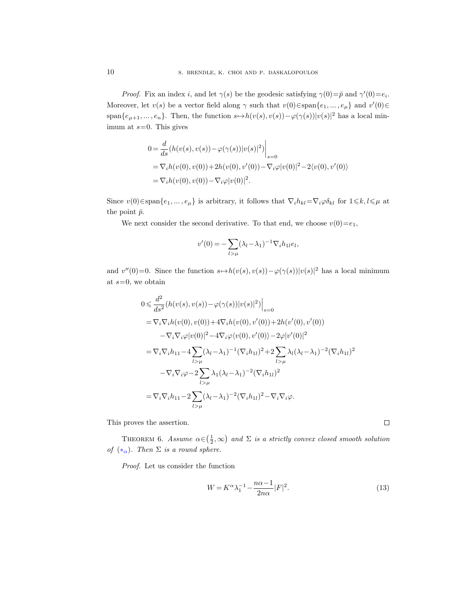*Proof.* Fix an index i, and let  $\gamma(s)$  be the geodesic satisfying  $\gamma(0) = \bar{p}$  and  $\gamma'(0) = e_i$ . Moreover, let  $v(s)$  be a vector field along  $\gamma$  such that  $v(0) \in \text{span}\{e_1, \dots, e_{\mu}\}\$  and  $v'(0) \in$ span $\{e_{\mu+1},...,e_n\}$ . Then, the function  $s \mapsto h(v(s), v(s)) - \varphi(\gamma(s))|v(s)|^2$  has a local minimum at  $s=0$ . This gives

$$
0 = \frac{d}{ds} (h(v(s), v(s)) - \varphi(\gamma(s)) |v(s)|^2) \Big|_{s=0}
$$
  
=  $\nabla_i h(v(0), v(0)) + 2h(v(0), v'(0)) - \nabla_i \varphi |v(0)|^2 - 2\langle v(0), v'(0) \rangle$   
=  $\nabla_i h(v(0), v(0)) - \nabla_i \varphi |v(0)|^2$ .

Since  $v(0) \in \text{span}\{e_1, \ldots, e_\mu\}$  is arbitrary, it follows that  $\nabla_i h_{kl} = \nabla_i \varphi \delta_{kl}$  for  $1 \leq k, l \leq \mu$  at the point  $\bar{p}$ .

We next consider the second derivative. To that end, we choose  $v(0)=e_1$ ,

$$
v'(0) = -\sum_{l>\mu} (\lambda_l - \lambda_1)^{-1} \nabla_i h_{1l} e_l,
$$

and  $v''(0)=0$ . Since the function  $s \mapsto h(v(s), v(s)) - \varphi(\gamma(s)) |v(s)|^2$  has a local minimum at  $s=0$ , we obtain

$$
0 \leq \frac{d^2}{ds^2} (h(v(s), v(s)) - \varphi(\gamma(s)) |v(s)|^2) \Big|_{s=0}
$$
  
\n
$$
= \nabla_i \nabla_i h(v(0), v(0)) + 4 \nabla_i h(v(0), v'(0)) + 2h(v'(0), v'(0))
$$
  
\n
$$
- \nabla_i \nabla_i \varphi |v(0)|^2 - 4 \nabla_i \varphi \langle v(0), v'(0) \rangle - 2 \varphi |v'(0)|^2
$$
  
\n
$$
= \nabla_i \nabla_i h_{11} - 4 \sum_{l > \mu} (\lambda_l - \lambda_1)^{-1} (\nabla_i h_{1l})^2 + 2 \sum_{l > \mu} \lambda_l (\lambda_l - \lambda_1)^{-2} (\nabla_i h_{1l})^2
$$
  
\n
$$
- \nabla_i \nabla_i \varphi - 2 \sum_{l > \mu} \lambda_1 (\lambda_l - \lambda_1)^{-2} (\nabla_i h_{1l})^2
$$
  
\n
$$
= \nabla_i \nabla_i h_{11} - 2 \sum_{l > \mu} (\lambda_l - \lambda_1)^{-2} (\nabla_i h_{1l})^2 - \nabla_i \nabla_i \varphi.
$$

This proves the assertion.

<span id="page-9-0"></span>THEOREM 6. Assume  $\alpha \in (\frac{1}{2}, \infty)$  and  $\Sigma$  is a strictly convex closed smooth solution of  $(*_{\alpha})$ . Then  $\Sigma$  is a round sphere.

Proof. Let us consider the function

$$
W = K^{\alpha} \lambda_1^{-1} - \frac{n\alpha - 1}{2n\alpha} |F|^2.
$$
\n
$$
(13)
$$

 $\Box$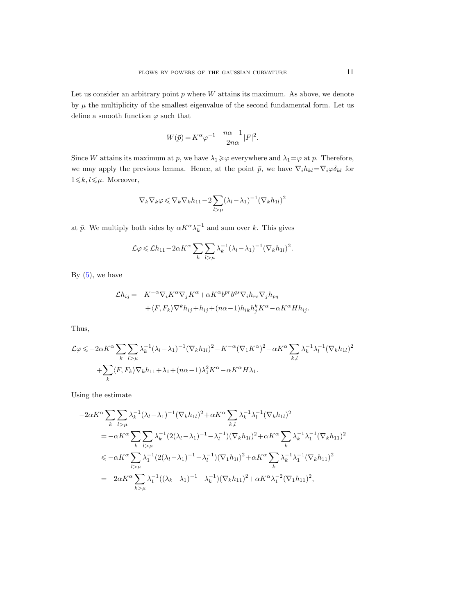Let us consider an arbitrary point  $\bar{p}$  where W attains its maximum. As above, we denote by  $\mu$  the multiplicity of the smallest eigenvalue of the second fundamental form. Let us define a smooth function  $\varphi$  such that

$$
W(\bar{p})=K^{\alpha}\varphi^{-1}-\frac{n\alpha-1}{2n\alpha}|F|^2.
$$

Since W attains its maximum at  $\bar{p}$ , we have  $\lambda_1 \geq \varphi$  everywhere and  $\lambda_1 = \varphi$  at  $\bar{p}$ . Therefore, we may apply the previous lemma. Hence, at the point  $\bar{p}$ , we have  $\nabla_i h_{kl} = \nabla_i \varphi \delta_{kl}$  for  $1{\leqslant}k,l{\leqslant}\mu.$  Moreover,

$$
\nabla_k \nabla_k \varphi \leqslant \nabla_k \nabla_k h_{11} - 2 \sum_{l > \mu} (\lambda_l - \lambda_1)^{-1} (\nabla_k h_{1l})^2
$$

at  $\bar{p}$ . We multiply both sides by  $\alpha K^{\alpha} \lambda_k^{-1}$  and sum over k. This gives

$$
\mathcal{L}\varphi \leqslant \mathcal{L}h_{11} - 2\alpha K^{\alpha} \sum_{k} \sum_{l>\mu} \lambda_k^{-1} (\lambda_l - \lambda_1)^{-1} (\nabla_k h_{1l})^2.
$$

By  $(5)$ , we have

$$
\mathcal{L}h_{ij} = -K^{-\alpha}\nabla_i K^{\alpha}\nabla_j K^{\alpha} + \alpha K^{\alpha}b^{pr}b^{qs}\nabla_i h_{rs}\nabla_j h_{pq}
$$
  
+  $\langle F, F_k \rangle \nabla^k h_{ij} + h_{ij} + (n\alpha - 1)h_{ik}h_j^k K^{\alpha} - \alpha K^{\alpha} H h_{ij}.$ 

Thus,

$$
\mathcal{L}\varphi \leqslant -2\alpha K^{\alpha} \sum_{k} \sum_{l>\mu} \lambda_k^{-1} (\lambda_l - \lambda_1)^{-1} (\nabla_k h_{1l})^2 - K^{-\alpha} (\nabla_1 K^{\alpha})^2 + \alpha K^{\alpha} \sum_{k,l} \lambda_k^{-1} \lambda_l^{-1} (\nabla_k h_{1l})^2
$$
  
+ 
$$
\sum_{k} \langle F, F_k \rangle \nabla_k h_{11} + \lambda_1 + (n\alpha - 1) \lambda_1^2 K^{\alpha} - \alpha K^{\alpha} H \lambda_1.
$$

Using the estimate

$$
-2\alpha K^{\alpha} \sum_{k} \sum_{l>\mu} \lambda_{k}^{-1} (\lambda_{l} - \lambda_{1})^{-1} (\nabla_{k} h_{1l})^{2} + \alpha K^{\alpha} \sum_{k,l} \lambda_{k}^{-1} \lambda_{l}^{-1} (\nabla_{k} h_{1l})^{2}
$$
  
\n
$$
= -\alpha K^{\alpha} \sum_{k} \sum_{l>\mu} \lambda_{k}^{-1} (2(\lambda_{l} - \lambda_{1})^{-1} - \lambda_{l}^{-1}) (\nabla_{k} h_{1l})^{2} + \alpha K^{\alpha} \sum_{k} \lambda_{k}^{-1} \lambda_{1}^{-1} (\nabla_{k} h_{11})^{2}
$$
  
\n
$$
\leq -\alpha K^{\alpha} \sum_{l>\mu} \lambda_{1}^{-1} (2(\lambda_{l} - \lambda_{1})^{-1} - \lambda_{l}^{-1}) (\nabla_{1} h_{1l})^{2} + \alpha K^{\alpha} \sum_{k} \lambda_{k}^{-1} \lambda_{1}^{-1} (\nabla_{k} h_{11})^{2}
$$
  
\n
$$
= -2\alpha K^{\alpha} \sum_{k>\mu} \lambda_{1}^{-1} ((\lambda_{k} - \lambda_{1})^{-1} - \lambda_{k}^{-1}) (\nabla_{k} h_{11})^{2} + \alpha K^{\alpha} \lambda_{1}^{-2} (\nabla_{1} h_{11})^{2},
$$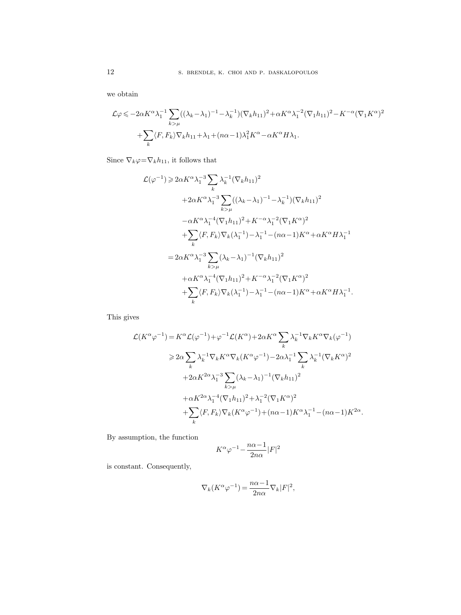we obtain

$$
\mathcal{L}\varphi \leqslant -2\alpha K^{\alpha}\lambda_1^{-1} \sum_{k>\mu} ((\lambda_k - \lambda_1)^{-1} - \lambda_k^{-1}) (\nabla_k h_{11})^2 + \alpha K^{\alpha}\lambda_1^{-2} (\nabla_1 h_{11})^2 - K^{-\alpha} (\nabla_1 K^{\alpha})^2
$$

$$
+ \sum_k \langle F, F_k \rangle \nabla_k h_{11} + \lambda_1 + (n\alpha - 1)\lambda_1^2 K^{\alpha} - \alpha K^{\alpha} H \lambda_1.
$$

Since  $\nabla_k \varphi = \nabla_k h_{11}$ , it follows that

$$
\mathcal{L}(\varphi^{-1}) \geq 2\alpha K^{\alpha} \lambda_1^{-3} \sum_{k} \lambda_k^{-1} (\nabla_k h_{11})^2 \n+ 2\alpha K^{\alpha} \lambda_1^{-3} \sum_{k > \mu} ((\lambda_k - \lambda_1)^{-1} - \lambda_k^{-1}) (\nabla_k h_{11})^2 \n- \alpha K^{\alpha} \lambda_1^{-4} (\nabla_1 h_{11})^2 + K^{-\alpha} \lambda_1^{-2} (\nabla_1 K^{\alpha})^2 \n+ \sum_{k} \langle F, F_k \rangle \nabla_k (\lambda_1^{-1}) - \lambda_1^{-1} - (n\alpha - 1) K^{\alpha} + \alpha K^{\alpha} H \lambda_1^{-1} \n= 2\alpha K^{\alpha} \lambda_1^{-3} \sum_{k > \mu} (\lambda_k - \lambda_1)^{-1} (\nabla_k h_{11})^2 \n+ \alpha K^{\alpha} \lambda_1^{-4} (\nabla_1 h_{11})^2 + K^{-\alpha} \lambda_1^{-2} (\nabla_1 K^{\alpha})^2 \n+ \sum_{k} \langle F, F_k \rangle \nabla_k (\lambda_1^{-1}) - \lambda_1^{-1} - (n\alpha - 1) K^{\alpha} + \alpha K^{\alpha} H \lambda_1^{-1}.
$$

This gives

$$
\mathcal{L}(K^{\alpha}\varphi^{-1}) = K^{\alpha}\mathcal{L}(\varphi^{-1}) + \varphi^{-1}\mathcal{L}(K^{\alpha}) + 2\alpha K^{\alpha} \sum_{k} \lambda_{k}^{-1} \nabla_{k} K^{\alpha} \nabla_{k}(\varphi^{-1})
$$
  
\n
$$
\geq 2\alpha \sum_{k} \lambda_{k}^{-1} \nabla_{k} K^{\alpha} \nabla_{k} (K^{\alpha}\varphi^{-1}) - 2\alpha \lambda_{1}^{-1} \sum_{k} \lambda_{k}^{-1} (\nabla_{k} K^{\alpha})^{2}
$$
  
\n
$$
+ 2\alpha K^{2\alpha} \lambda_{1}^{-3} \sum_{k > \mu} (\lambda_{k} - \lambda_{1})^{-1} (\nabla_{k} h_{11})^{2}
$$
  
\n
$$
+ \alpha K^{2\alpha} \lambda_{1}^{-4} (\nabla_{1} h_{11})^{2} + \lambda_{1}^{-2} (\nabla_{1} K^{\alpha})^{2}
$$
  
\n
$$
+ \sum_{k} \langle F, F_{k} \rangle \nabla_{k} (K^{\alpha}\varphi^{-1}) + (n\alpha - 1) K^{\alpha} \lambda_{1}^{-1} - (n\alpha - 1) K^{2\alpha}.
$$

By assumption, the function

$$
K^{\alpha}\varphi^{-1}-\frac{n\alpha\!-\!1}{2n\alpha}|F|^2
$$

is constant. Consequently,

$$
\nabla_k(K^{\alpha}\varphi^{-1})=\frac{n\alpha-1}{2n\alpha}\nabla_k|F|^2,
$$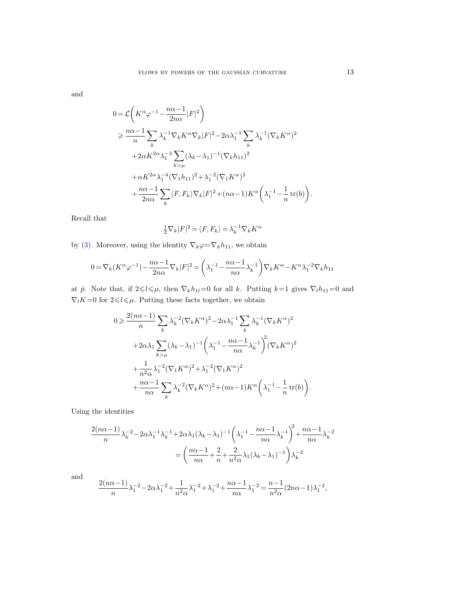and

$$
0 = \mathcal{L}\left(K^{\alpha}\varphi^{-1} - \frac{n\alpha - 1}{2n\alpha}|F|^2\right)
$$
  
\n
$$
\geq \frac{n\alpha - 1}{n} \sum_{k} \lambda_k^{-1} \nabla_k K^{\alpha} \nabla_k |F|^2 - 2\alpha \lambda_1^{-1} \sum_{k} \lambda_k^{-1} (\nabla_k K^{\alpha})^2
$$
  
\n
$$
+ 2\alpha K^{2\alpha} \lambda_1^{-3} \sum_{k > \mu} (\lambda_k - \lambda_1)^{-1} (\nabla_k h_{11})^2
$$
  
\n
$$
+ \alpha K^{2\alpha} \lambda_1^{-4} (\nabla_1 h_{11})^2 + \lambda_1^{-2} (\nabla_1 K^{\alpha})^2
$$
  
\n
$$
+ \frac{n\alpha - 1}{2n\alpha} \sum_{k} \langle F, F_k \rangle \nabla_k |F|^2 + (n\alpha - 1) K^{\alpha} \left(\lambda_1^{-1} - \frac{1}{n} \operatorname{tr}(b)\right).
$$

Recall that

$$
\frac{1}{2}\nabla_k|F|^2 = \langle F, F_k \rangle = \lambda_k^{-1}\nabla_k K^{\alpha}
$$

by [\(3\)](#page-3-2). Moreover, using the identity  $\nabla_k \varphi = \nabla_k h_{11}$ , we obtain

$$
0 = \nabla_k (K^{\alpha} \varphi^{-1}) - \frac{n\alpha - 1}{2n\alpha} \nabla_k |F|^2 = \left(\lambda_1^{-1} - \frac{n\alpha - 1}{n\alpha} \lambda_k^{-1}\right) \nabla_k K^{\alpha} - K^{\alpha} \lambda_1^{-2} \nabla_k h_{11}
$$

at  $\bar{p}$ . Note that, if  $2 \leq l \leq \mu$ , then  $\nabla_k h_{1l}=0$  for all k. Putting  $k=1$  gives  $\nabla_l h_{11}=0$  and  $\nabla_l K=0$  for  $2{\leqslant}l{\leqslant}\mu$ . Putting these facts together, we obtain

$$
0 \geq \frac{2(n\alpha - 1)}{n} \sum_{k} \lambda_k^{-2} (\nabla_k K^{\alpha})^2 - 2\alpha \lambda_1^{-1} \sum_{k} \lambda_k^{-1} (\nabla_k K^{\alpha})^2
$$
  
+2\alpha \lambda\_1 \sum\_{k > \mu} (\lambda\_k - \lambda\_1)^{-1} \left( \lambda\_1^{-1} - \frac{n\alpha - 1}{n\alpha} \lambda\_k^{-1} \right)^2 (\nabla\_k K^{\alpha})^2  
+ \frac{1}{n^2 \alpha} \lambda\_1^{-2} (\nabla\_1 K^{\alpha})^2 + \lambda\_1^{-2} (\nabla\_1 K^{\alpha})^2  
+ \frac{n\alpha - 1}{n\alpha} \sum\_{k} \lambda\_k^{-2} (\nabla\_k K^{\alpha})^2 + (n\alpha - 1) K^{\alpha} \left( \lambda\_1^{-1} - \frac{1}{n} \operatorname{tr}(b) \right).

Using the identities

$$
\frac{2(n\alpha-1)}{n}\lambda_k^{-2} - 2\alpha\lambda_1^{-1}\lambda_k^{-1} + 2\alpha\lambda_1(\lambda_k - \lambda_1)^{-1}\left(\lambda_1^{-1} - \frac{n\alpha-1}{n\alpha}\lambda_k^{-1}\right)^2 + \frac{n\alpha-1}{n\alpha}\lambda_k^{-2}
$$

$$
= \left(\frac{n\alpha-1}{n\alpha} + \frac{2}{n} + \frac{2}{n^2\alpha}\lambda_1(\lambda_k - \lambda_1)^{-1}\right)\lambda_k^{-2}
$$

and

$$
\frac{2(n\alpha-1)}{n}\lambda_1^{-2} - 2\alpha\lambda_1^{-2} + \frac{1}{n^2\alpha}\lambda_1^{-2} + \lambda_1^{-2} + \frac{n\alpha-1}{n\alpha}\lambda_1^{-2} = \frac{n-1}{n^2\alpha}(2n\alpha-1)\lambda_1^{-2},
$$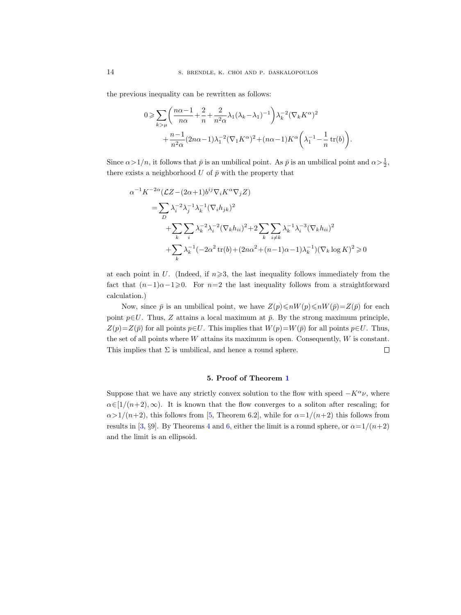the previous inequality can be rewritten as follows:

$$
0 \ge \sum_{k>\mu} \left( \frac{n\alpha - 1}{n\alpha} + \frac{2}{n} + \frac{2}{n^2\alpha} \lambda_1 (\lambda_k - \lambda_1)^{-1} \right) \lambda_k^{-2} (\nabla_k K^{\alpha})^2
$$

$$
+ \frac{n-1}{n^2\alpha} (2n\alpha - 1) \lambda_1^{-2} (\nabla_1 K^{\alpha})^2 + (n\alpha - 1) K^{\alpha} \left( \lambda_1^{-1} - \frac{1}{n} \operatorname{tr}(b) \right).
$$

Since  $\alpha > 1/n$ , it follows that  $\bar{p}$  is an umbilical point. As  $\bar{p}$  is an umbilical point and  $\alpha > \frac{1}{2}$ , there exists a neighborhood  $U$  of  $\bar{p}$  with the property that

$$
\alpha^{-1} K^{-2\alpha} (\mathcal{L}Z - (2\alpha + 1)b^{ij} \nabla_i K^{\alpha} \nabla_j Z)
$$
  
=  $\sum_{D} \lambda_i^{-2} \lambda_j^{-1} \lambda_k^{-1} (\nabla_i h_{jk})^2$   
+  $\sum_{k} \sum_{i} \lambda_k^{-2} \lambda_i^{-2} (\nabla_k h_{ii})^2 + 2 \sum_{k} \sum_{i \neq k} \lambda_k^{-1} \lambda_i^{-3} (\nabla_k h_{ii})^2$   
+  $\sum_{k} \lambda_k^{-1} (-2\alpha^2 \text{tr}(b) + (2n\alpha^2 + (n-1)\alpha - 1)\lambda_k^{-1}) (\nabla_k \log K)^2 \ge 0$ 

at each point in U. (Indeed, if  $n \geqslant 3$ , the last inequality follows immediately from the fact that  $(n-1)\alpha-1\geqslant 0$ . For  $n=2$  the last inequality follows from a straightforward calculation.)

Now, since  $\bar{p}$  is an umbilical point, we have  $Z(p)\leq nW(p)\leq nW(\bar{p})=Z(\bar{p})$  for each point  $p \in U$ . Thus, Z attains a local maximum at  $\bar{p}$ . By the strong maximum principle,  $Z(p)=Z(\bar{p})$  for all points  $p\in U$ . This implies that  $W(p)=W(\bar{p})$  for all points  $p\in U$ . Thus, the set of all points where  $W$  attains its maximum is open. Consequently,  $W$  is constant. This implies that  $\Sigma$  is umbilical, and hence a round sphere.  $\Box$ 

#### 5. Proof of Theorem [1](#page-0-0)

Suppose that we have any strictly convex solution to the flow with speed  $-K^{\alpha}\nu$ , where  $\alpha \in [1/(n+2), \infty)$ . It is known that the flow converges to a soliton after rescaling; for  $\alpha > 1/(n+2)$ , this follows from [\[5,](#page-14-12) Theorem 6.2], while for  $\alpha = 1/(n+2)$  this follows from results in [\[3,](#page-14-10) §9]. By Theorems [4](#page-6-1) and [6,](#page-9-0) either the limit is a round sphere, or  $\alpha = 1/(n+2)$ and the limit is an ellipsoid.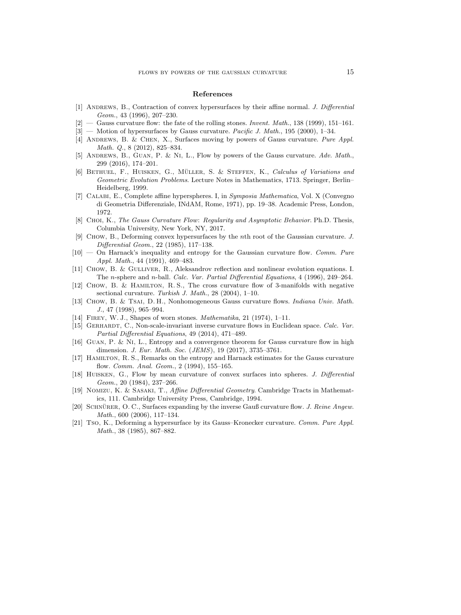#### References

- <span id="page-14-6"></span>[1] ANDREWS, B., Contraction of convex hypersurfaces by their affine normal. J. Differential Geom., 43 (1996), 207–230.
- <span id="page-14-8"></span> $[2]$  — Gauss curvature flow: the fate of the rolling stones. *Invent. Math.*, 138 (1999), 151–161.
- <span id="page-14-10"></span>[3] — Motion of hypersurfaces by Gauss curvature. Pacific J. Math., 195 (2000), 1–34.
- <span id="page-14-9"></span>[4] Andrews, B. & Chen, X., Surfaces moving by powers of Gauss curvature. Pure Appl. Math. Q., 8 (2012), 825–834.
- <span id="page-14-12"></span>[5] ANDREWS, B., GUAN, P. & NI, L., Flow by powers of the Gauss curvature. Adv. Math., 299 (2016), 174–201.
- <span id="page-14-15"></span>[6] BETHUEL, F., HUISKEN, G., MÜLLER, S. & STEFFEN, K., Calculus of Variations and Geometric Evolution Problems. Lecture Notes in Mathematics, 1713. Springer, Berlin– Heidelberg, 1999.
- <span id="page-14-7"></span>[7] Calabi, E., Complete affine hyperspheres. I, in Symposia Mathematica, Vol. X (Convegno di Geometria Differenziale, INdAM, Rome, 1971), pp. 19–38. Academic Press, London, 1972.
- <span id="page-14-13"></span>[8] CHOI, K., The Gauss Curvature Flow: Regularity and Asymptotic Behavior. Ph.D. Thesis, Columbia University, New York, NY, 2017.
- <span id="page-14-3"></span>[9] Chow, B., Deforming convex hypersurfaces by the nth root of the Gaussian curvature. J. Differential Geom., 22 (1985), 117–138.
- <span id="page-14-4"></span>[10] — On Harnack's inequality and entropy for the Gaussian curvature flow. Comm. Pure Appl. Math., 44 (1991), 469–483.
- <span id="page-14-19"></span>[11] CHOW, B. & GULLIVER, R., Aleksandrov reflection and nonlinear evolution equations. I. The n-sphere and n-ball. Calc. Var. Partial Differential Equations, 4 (1996), 249–264.
- <span id="page-14-17"></span>[12] Chow, B. & Hamilton, R. S., The cross curvature flow of 3-manifolds with negative sectional curvature. Turkish J. Math., 28 (2004), 1–10.
- <span id="page-14-14"></span>[13] Chow, B. & Tsai, D. H., Nonhomogeneous Gauss curvature flows. Indiana Univ. Math. J., 47 (1998), 965–994.
- <span id="page-14-1"></span>[14] FIREY, W. J., Shapes of worn stones. *Mathematika*, 21 (1974), 1-11.
- <span id="page-14-18"></span>[15] GERHARDT, C., Non-scale-invariant inverse curvature flows in Euclidean space. Calc. Var. Partial Differential Equations, 49 (2014), 471–489.
- <span id="page-14-11"></span>[16] Guan, P. & Ni, L., Entropy and a convergence theorem for Gauss curvature flow in high dimension. J. Eur. Math. Soc. (JEMS), 19 (2017), 3735–3761.
- <span id="page-14-5"></span>[17] Hamilton, R. S., Remarks on the entropy and Harnack estimates for the Gauss curvature flow. Comm. Anal. Geom., 2 (1994), 155–165.
- <span id="page-14-0"></span>[18] Huisken, G., Flow by mean curvature of convex surfaces into spheres. J. Differential Geom., 20 (1984), 237–266.
- <span id="page-14-20"></span>[19] Nomizu, K. & Sasaki, T., Affine Differential Geometry. Cambridge Tracts in Mathematics, 111. Cambridge University Press, Cambridge, 1994.
- <span id="page-14-16"></span>[20] SCHNÜRER, O. C., Surfaces expanding by the inverse Gauß curvature flow. J. Reine Angew. Math., 600 (2006), 117–134.
- <span id="page-14-2"></span>[21] Tso, K., Deforming a hypersurface by its Gauss–Kronecker curvature. Comm. Pure Appl. Math., 38 (1985), 867–882.